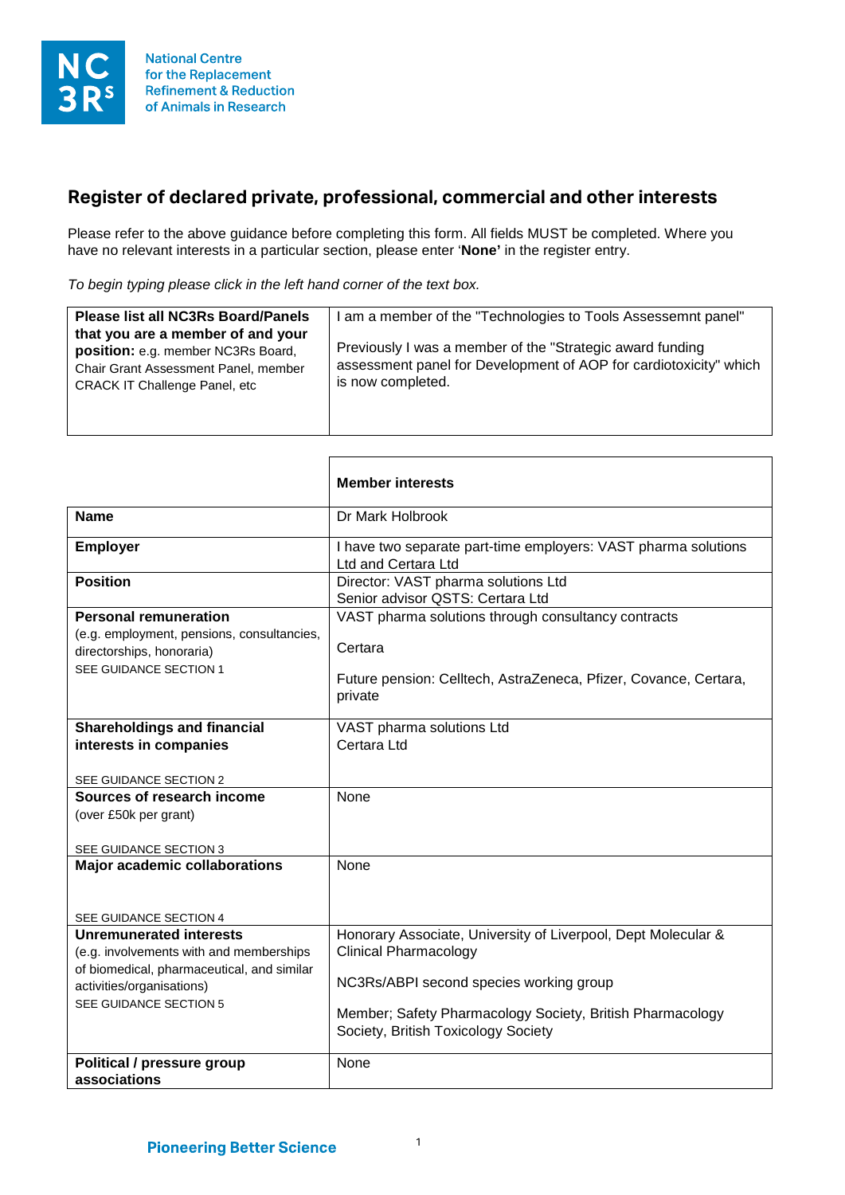

## **Register of declared private, professional, commercial and other interests**

Please refer to the above guidance before completing this form. All fields MUST be completed. Where you have no relevant interests in a particular section, please enter '**None'** in the register entry.

*To begin typing please click in the left hand corner of the text box.*

 $\Gamma$ 

| <b>Please list all NC3Rs Board/Panels</b><br>that you are a member of and your                                      | I am a member of the "Technologies to Tools Assessemnt panel"                                                                                        |
|---------------------------------------------------------------------------------------------------------------------|------------------------------------------------------------------------------------------------------------------------------------------------------|
| position: e.g. member NC3Rs Board,<br>Chair Grant Assessment Panel, member<br><b>CRACK IT Challenge Panel, etc.</b> | Previously I was a member of the "Strategic award funding"<br>assessment panel for Development of AOP for cardiotoxicity" which<br>is now completed. |

|                                                                                                   | <b>Member interests</b>                                                                |
|---------------------------------------------------------------------------------------------------|----------------------------------------------------------------------------------------|
| <b>Name</b>                                                                                       | Dr Mark Holbrook                                                                       |
| <b>Employer</b>                                                                                   | I have two separate part-time employers: VAST pharma solutions<br>Ltd and Certara Ltd  |
| <b>Position</b>                                                                                   | Director: VAST pharma solutions Ltd<br>Senior advisor QSTS: Certara Ltd                |
| <b>Personal remuneration</b>                                                                      | VAST pharma solutions through consultancy contracts                                    |
| (e.g. employment, pensions, consultancies,<br>directorships, honoraria)<br>SEE GUIDANCE SECTION 1 | Certara<br>Future pension: Celltech, AstraZeneca, Pfizer, Covance, Certara,<br>private |
| <b>Shareholdings and financial</b>                                                                | VAST pharma solutions Ltd                                                              |
| interests in companies                                                                            | Certara Ltd                                                                            |
|                                                                                                   |                                                                                        |
| SEE GUIDANCE SECTION 2                                                                            |                                                                                        |
| Sources of research income                                                                        | None                                                                                   |
| (over £50k per grant)                                                                             |                                                                                        |
|                                                                                                   |                                                                                        |
| SEE GUIDANCE SECTION 3                                                                            |                                                                                        |
| <b>Major academic collaborations</b>                                                              | None                                                                                   |
|                                                                                                   |                                                                                        |
|                                                                                                   |                                                                                        |
| SEE GUIDANCE SECTION 4                                                                            |                                                                                        |
| <b>Unremunerated interests</b>                                                                    | Honorary Associate, University of Liverpool, Dept Molecular &                          |
| (e.g. involvements with and memberships                                                           | <b>Clinical Pharmacology</b>                                                           |
| of biomedical, pharmaceutical, and similar                                                        |                                                                                        |
| activities/organisations)                                                                         | NC3Rs/ABPI second species working group                                                |
| SEE GUIDANCE SECTION 5                                                                            |                                                                                        |
|                                                                                                   | Member; Safety Pharmacology Society, British Pharmacology                              |
|                                                                                                   | Society, British Toxicology Society                                                    |
|                                                                                                   |                                                                                        |
| Political / pressure group                                                                        | None                                                                                   |
| associations                                                                                      |                                                                                        |